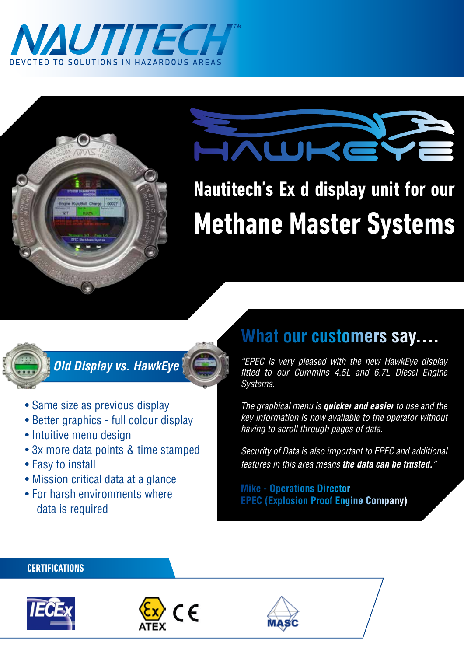



# AWKE

**Nautitech's Ex d display unit for our Methane Master Systems**



*Old Display vs. HawkEye*

- Same size as previous display
- Better graphics full colour display
- Intuitive menu design
- 3x more data points & time stamped
- Easy to install
- Mission critical data at a glance
- For harsh environments where data is required

## **What our customers say....**

*"EPEC is very pleased with the new HawkEye display fitted to our Cummins 4.5L and 6.7L Diesel Engine Systems.*

*The graphical menu is quicker and easier to use and the key information is now available to the operator without having to scroll through pages of data.*

*Security of Data is also important to EPEC and additional features in this area means the data can be trusted."*

**Mike - Operations Director EPEC (Explosion Proof Engine Company)**

#### **CERTIFICATIONS**